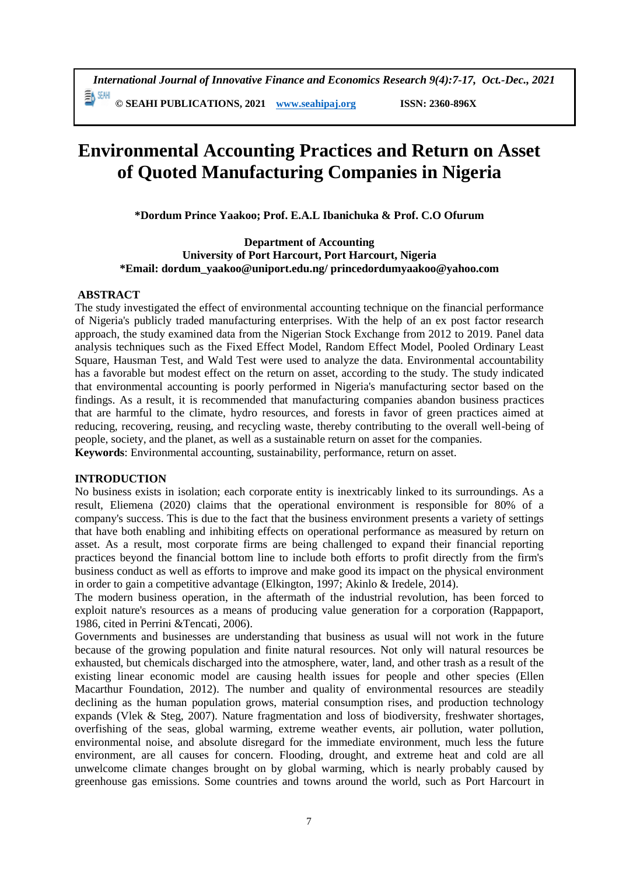*International Journal of Innovative Finance and Economics Research 9(4):7-17, Oct.-Dec., 2021* 動細 **© SEAHI PUBLICATIONS, 2021 [www.seahipaj.org](http://www.seahipaj.org/) ISSN: 2360-896X**

# **Environmental Accounting Practices and Return on Asset of Quoted Manufacturing Companies in Nigeria**

**\*Dordum Prince Yaakoo; Prof. E.A.L Ibanichuka & Prof. C.O Ofurum**

**Department of Accounting University of Port Harcourt, Port Harcourt, Nigeria \*Email: [dordum\\_yaakoo@uniport.edu.ng/](mailto:dordum_yaakoo@uniport.edu.ng/) [princedordumyaakoo@yahoo.com](mailto:princedordumyaakoo@yahoo.com)**

# **ABSTRACT**

The study investigated the effect of environmental accounting technique on the financial performance of Nigeria's publicly traded manufacturing enterprises. With the help of an ex post factor research approach, the study examined data from the Nigerian Stock Exchange from 2012 to 2019. Panel data analysis techniques such as the Fixed Effect Model, Random Effect Model, Pooled Ordinary Least Square, Hausman Test, and Wald Test were used to analyze the data. Environmental accountability has a favorable but modest effect on the return on asset, according to the study. The study indicated that environmental accounting is poorly performed in Nigeria's manufacturing sector based on the findings. As a result, it is recommended that manufacturing companies abandon business practices that are harmful to the climate, hydro resources, and forests in favor of green practices aimed at reducing, recovering, reusing, and recycling waste, thereby contributing to the overall well-being of people, society, and the planet, as well as a sustainable return on asset for the companies. **Keywords**: Environmental accounting, sustainability, performance, return on asset.

# **INTRODUCTION**

No business exists in isolation; each corporate entity is inextricably linked to its surroundings. As a result, Eliemena (2020) claims that the operational environment is responsible for 80% of a company's success. This is due to the fact that the business environment presents a variety of settings that have both enabling and inhibiting effects on operational performance as measured by return on asset. As a result, most corporate firms are being challenged to expand their financial reporting practices beyond the financial bottom line to include both efforts to profit directly from the firm's business conduct as well as efforts to improve and make good its impact on the physical environment in order to gain a competitive advantage (Elkington, 1997; Akinlo & Iredele, 2014).

The modern business operation, in the aftermath of the industrial revolution, has been forced to exploit nature's resources as a means of producing value generation for a corporation (Rappaport, 1986, cited in Perrini &Tencati, 2006).

Governments and businesses are understanding that business as usual will not work in the future because of the growing population and finite natural resources. Not only will natural resources be exhausted, but chemicals discharged into the atmosphere, water, land, and other trash as a result of the existing linear economic model are causing health issues for people and other species (Ellen Macarthur Foundation, 2012). The number and quality of environmental resources are steadily declining as the human population grows, material consumption rises, and production technology expands (Vlek & Steg, 2007). Nature fragmentation and loss of biodiversity, freshwater shortages, overfishing of the seas, global warming, extreme weather events, air pollution, water pollution, environmental noise, and absolute disregard for the immediate environment, much less the future environment, are all causes for concern. Flooding, drought, and extreme heat and cold are all unwelcome climate changes brought on by global warming, which is nearly probably caused by greenhouse gas emissions. Some countries and towns around the world, such as Port Harcourt in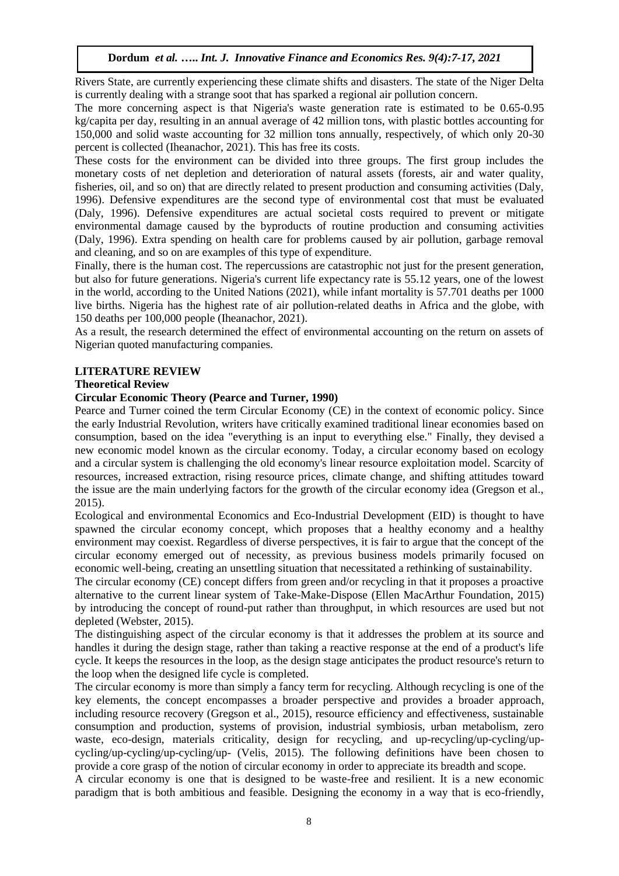Rivers State, are currently experiencing these climate shifts and disasters. The state of the Niger Delta is currently dealing with a strange soot that has sparked a regional air pollution concern.

The more concerning aspect is that Nigeria's waste generation rate is estimated to be 0.65-0.95 kg/capita per day, resulting in an annual average of 42 million tons, with plastic bottles accounting for 150,000 and solid waste accounting for 32 million tons annually, respectively, of which only 20-30 percent is collected (Iheanachor, 2021). This has free its costs.

These costs for the environment can be divided into three groups. The first group includes the monetary costs of net depletion and deterioration of natural assets (forests, air and water quality, fisheries, oil, and so on) that are directly related to present production and consuming activities (Daly, 1996). Defensive expenditures are the second type of environmental cost that must be evaluated (Daly, 1996). Defensive expenditures are actual societal costs required to prevent or mitigate environmental damage caused by the byproducts of routine production and consuming activities (Daly, 1996). Extra spending on health care for problems caused by air pollution, garbage removal and cleaning, and so on are examples of this type of expenditure.

Finally, there is the human cost. The repercussions are catastrophic not just for the present generation, but also for future generations. Nigeria's current life expectancy rate is 55.12 years, one of the lowest in the world, according to the United Nations (2021), while infant mortality is 57.701 deaths per 1000 live births. Nigeria has the highest rate of air pollution-related deaths in Africa and the globe, with 150 deaths per 100,000 people (Iheanachor, 2021).

As a result, the research determined the effect of environmental accounting on the return on assets of Nigerian quoted manufacturing companies.

# **LITERATURE REVIEW**

# **Theoretical Review**

# **Circular Economic Theory (Pearce and Turner, 1990)**

Pearce and Turner coined the term Circular Economy (CE) in the context of economic policy. Since the early Industrial Revolution, writers have critically examined traditional linear economies based on consumption, based on the idea "everything is an input to everything else." Finally, they devised a new economic model known as the circular economy. Today, a circular economy based on ecology and a circular system is challenging the old economy's linear resource exploitation model. Scarcity of resources, increased extraction, rising resource prices, climate change, and shifting attitudes toward the issue are the main underlying factors for the growth of the circular economy idea (Gregson et al., 2015).

Ecological and environmental Economics and Eco-Industrial Development (EID) is thought to have spawned the circular economy concept, which proposes that a healthy economy and a healthy environment may coexist. Regardless of diverse perspectives, it is fair to argue that the concept of the circular economy emerged out of necessity, as previous business models primarily focused on economic well-being, creating an unsettling situation that necessitated a rethinking of sustainability.

The circular economy (CE) concept differs from green and/or recycling in that it proposes a proactive alternative to the current linear system of Take-Make-Dispose (Ellen MacArthur Foundation, 2015) by introducing the concept of round-put rather than throughput, in which resources are used but not depleted (Webster, 2015).

The distinguishing aspect of the circular economy is that it addresses the problem at its source and handles it during the design stage, rather than taking a reactive response at the end of a product's life cycle. It keeps the resources in the loop, as the design stage anticipates the product resource's return to the loop when the designed life cycle is completed.

The circular economy is more than simply a fancy term for recycling. Although recycling is one of the key elements, the concept encompasses a broader perspective and provides a broader approach, including resource recovery (Gregson et al., 2015), resource efficiency and effectiveness, sustainable consumption and production, systems of provision, industrial symbiosis, urban metabolism, zero waste, eco-design, materials criticality, design for recycling, and up-recycling/up-cycling/upcycling/up-cycling/up-cycling/up- (Velis, 2015). The following definitions have been chosen to provide a core grasp of the notion of circular economy in order to appreciate its breadth and scope.

A circular economy is one that is designed to be waste-free and resilient. It is a new economic paradigm that is both ambitious and feasible. Designing the economy in a way that is eco-friendly,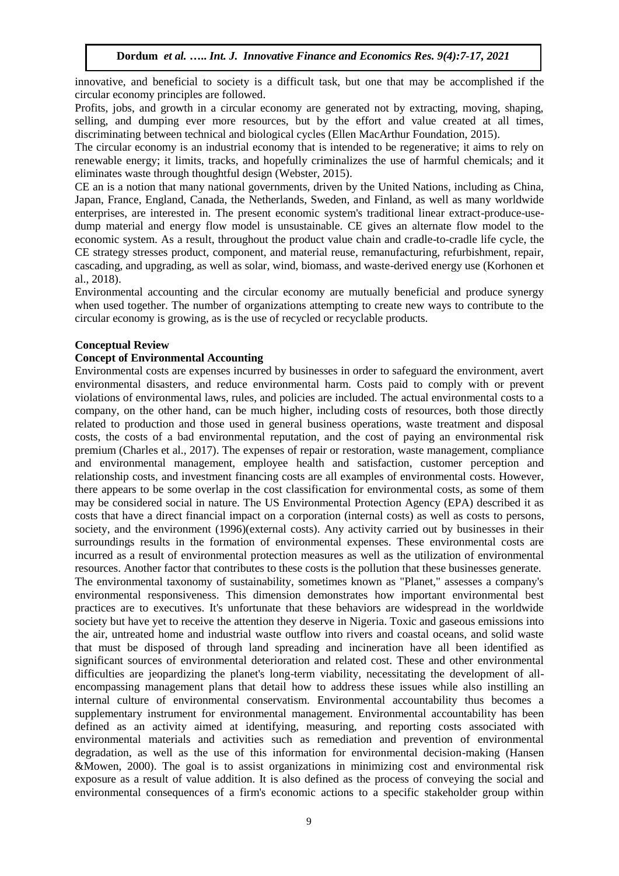innovative, and beneficial to society is a difficult task, but one that may be accomplished if the circular economy principles are followed.

Profits, jobs, and growth in a circular economy are generated not by extracting, moving, shaping, selling, and dumping ever more resources, but by the effort and value created at all times, discriminating between technical and biological cycles (Ellen MacArthur Foundation, 2015).

The circular economy is an industrial economy that is intended to be regenerative; it aims to rely on renewable energy; it limits, tracks, and hopefully criminalizes the use of harmful chemicals; and it eliminates waste through thoughtful design (Webster, 2015).

CE an is a notion that many national governments, driven by the United Nations, including as China, Japan, France, England, Canada, the Netherlands, Sweden, and Finland, as well as many worldwide enterprises, are interested in. The present economic system's traditional linear extract-produce-usedump material and energy flow model is unsustainable. CE gives an alternate flow model to the economic system. As a result, throughout the product value chain and cradle-to-cradle life cycle, the CE strategy stresses product, component, and material reuse, remanufacturing, refurbishment, repair, cascading, and upgrading, as well as solar, wind, biomass, and waste-derived energy use (Korhonen et al., 2018).

Environmental accounting and the circular economy are mutually beneficial and produce synergy when used together. The number of organizations attempting to create new ways to contribute to the circular economy is growing, as is the use of recycled or recyclable products.

# **Conceptual Review**

# **Concept of Environmental Accounting**

Environmental costs are expenses incurred by businesses in order to safeguard the environment, avert environmental disasters, and reduce environmental harm. Costs paid to comply with or prevent violations of environmental laws, rules, and policies are included. The actual environmental costs to a company, on the other hand, can be much higher, including costs of resources, both those directly related to production and those used in general business operations, waste treatment and disposal costs, the costs of a bad environmental reputation, and the cost of paying an environmental risk premium (Charles et al., 2017). The expenses of repair or restoration, waste management, compliance and environmental management, employee health and satisfaction, customer perception and relationship costs, and investment financing costs are all examples of environmental costs. However, there appears to be some overlap in the cost classification for environmental costs, as some of them may be considered social in nature. The US Environmental Protection Agency (EPA) described it as costs that have a direct financial impact on a corporation (internal costs) as well as costs to persons, society, and the environment (1996)(external costs). Any activity carried out by businesses in their surroundings results in the formation of environmental expenses. These environmental costs are incurred as a result of environmental protection measures as well as the utilization of environmental resources. Another factor that contributes to these costs is the pollution that these businesses generate. The environmental taxonomy of sustainability, sometimes known as "Planet," assesses a company's environmental responsiveness. This dimension demonstrates how important environmental best practices are to executives. It's unfortunate that these behaviors are widespread in the worldwide society but have yet to receive the attention they deserve in Nigeria. Toxic and gaseous emissions into the air, untreated home and industrial waste outflow into rivers and coastal oceans, and solid waste that must be disposed of through land spreading and incineration have all been identified as significant sources of environmental deterioration and related cost. These and other environmental difficulties are jeopardizing the planet's long-term viability, necessitating the development of allencompassing management plans that detail how to address these issues while also instilling an internal culture of environmental conservatism. Environmental accountability thus becomes a supplementary instrument for environmental management. Environmental accountability has been defined as an activity aimed at identifying, measuring, and reporting costs associated with environmental materials and activities such as remediation and prevention of environmental degradation, as well as the use of this information for environmental decision-making (Hansen &Mowen, 2000). The goal is to assist organizations in minimizing cost and environmental risk exposure as a result of value addition. It is also defined as the process of conveying the social and environmental consequences of a firm's economic actions to a specific stakeholder group within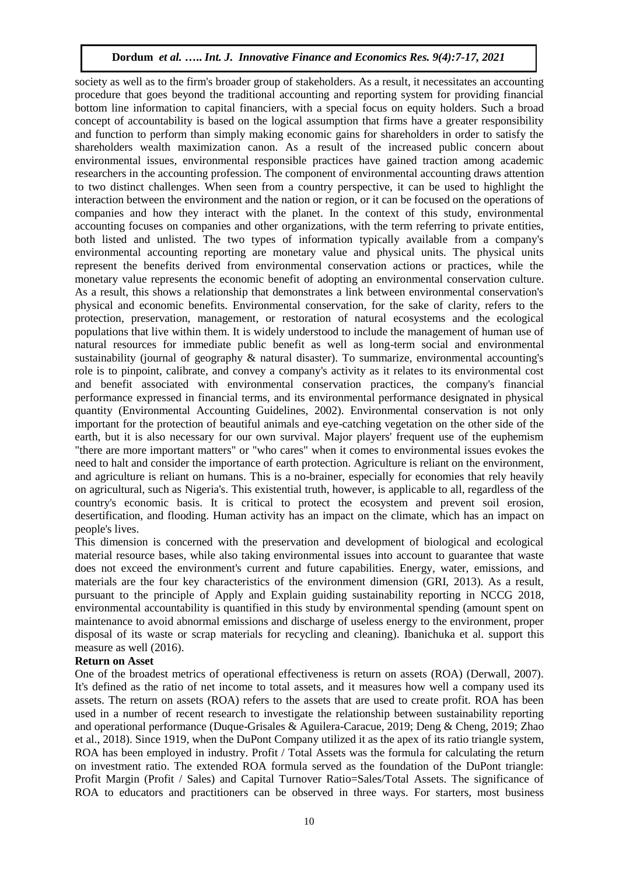society as well as to the firm's broader group of stakeholders. As a result, it necessitates an accounting procedure that goes beyond the traditional accounting and reporting system for providing financial bottom line information to capital financiers, with a special focus on equity holders. Such a broad concept of accountability is based on the logical assumption that firms have a greater responsibility and function to perform than simply making economic gains for shareholders in order to satisfy the shareholders wealth maximization canon. As a result of the increased public concern about environmental issues, environmental responsible practices have gained traction among academic researchers in the accounting profession. The component of environmental accounting draws attention to two distinct challenges. When seen from a country perspective, it can be used to highlight the interaction between the environment and the nation or region, or it can be focused on the operations of companies and how they interact with the planet. In the context of this study, environmental accounting focuses on companies and other organizations, with the term referring to private entities, both listed and unlisted. The two types of information typically available from a company's environmental accounting reporting are monetary value and physical units. The physical units represent the benefits derived from environmental conservation actions or practices, while the monetary value represents the economic benefit of adopting an environmental conservation culture. As a result, this shows a relationship that demonstrates a link between environmental conservation's physical and economic benefits. Environmental conservation, for the sake of clarity, refers to the protection, preservation, management, or restoration of natural ecosystems and the ecological populations that live within them. It is widely understood to include the management of human use of natural resources for immediate public benefit as well as long-term social and environmental sustainability (journal of geography & natural disaster). To summarize, environmental accounting's role is to pinpoint, calibrate, and convey a company's activity as it relates to its environmental cost and benefit associated with environmental conservation practices, the company's financial performance expressed in financial terms, and its environmental performance designated in physical quantity (Environmental Accounting Guidelines, 2002). Environmental conservation is not only important for the protection of beautiful animals and eye-catching vegetation on the other side of the earth, but it is also necessary for our own survival. Major players' frequent use of the euphemism "there are more important matters" or "who cares" when it comes to environmental issues evokes the need to halt and consider the importance of earth protection. Agriculture is reliant on the environment, and agriculture is reliant on humans. This is a no-brainer, especially for economies that rely heavily on agricultural, such as Nigeria's. This existential truth, however, is applicable to all, regardless of the country's economic basis. It is critical to protect the ecosystem and prevent soil erosion, desertification, and flooding. Human activity has an impact on the climate, which has an impact on people's lives.

This dimension is concerned with the preservation and development of biological and ecological material resource bases, while also taking environmental issues into account to guarantee that waste does not exceed the environment's current and future capabilities. Energy, water, emissions, and materials are the four key characteristics of the environment dimension (GRI, 2013). As a result, pursuant to the principle of Apply and Explain guiding sustainability reporting in NCCG 2018, environmental accountability is quantified in this study by environmental spending (amount spent on maintenance to avoid abnormal emissions and discharge of useless energy to the environment, proper disposal of its waste or scrap materials for recycling and cleaning). Ibanichuka et al. support this measure as well (2016).

# **Return on Asset**

One of the broadest metrics of operational effectiveness is return on assets (ROA) (Derwall, 2007). It's defined as the ratio of net income to total assets, and it measures how well a company used its assets. The return on assets (ROA) refers to the assets that are used to create profit. ROA has been used in a number of recent research to investigate the relationship between sustainability reporting and operational performance (Duque-Grisales & Aguilera-Caracue, 2019; Deng & Cheng, 2019; Zhao et al., 2018). Since 1919, when the DuPont Company utilized it as the apex of its ratio triangle system, ROA has been employed in industry. Profit / Total Assets was the formula for calculating the return on investment ratio. The extended ROA formula served as the foundation of the DuPont triangle: Profit Margin (Profit / Sales) and Capital Turnover Ratio=Sales/Total Assets. The significance of ROA to educators and practitioners can be observed in three ways. For starters, most business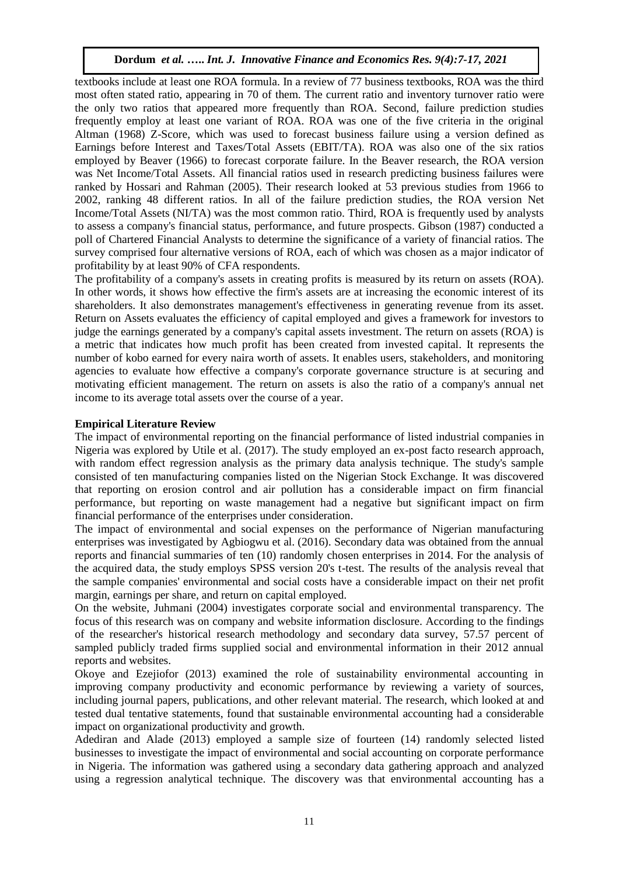textbooks include at least one ROA formula. In a review of 77 business textbooks, ROA was the third most often stated ratio, appearing in 70 of them. The current ratio and inventory turnover ratio were the only two ratios that appeared more frequently than ROA. Second, failure prediction studies frequently employ at least one variant of ROA. ROA was one of the five criteria in the original Altman (1968) Z-Score, which was used to forecast business failure using a version defined as Earnings before Interest and Taxes/Total Assets (EBIT/TA). ROA was also one of the six ratios employed by Beaver (1966) to forecast corporate failure. In the Beaver research, the ROA version was Net Income/Total Assets. All financial ratios used in research predicting business failures were ranked by Hossari and Rahman (2005). Their research looked at 53 previous studies from 1966 to 2002, ranking 48 different ratios. In all of the failure prediction studies, the ROA version Net Income/Total Assets (NI/TA) was the most common ratio. Third, ROA is frequently used by analysts to assess a company's financial status, performance, and future prospects. Gibson (1987) conducted a poll of Chartered Financial Analysts to determine the significance of a variety of financial ratios. The survey comprised four alternative versions of ROA, each of which was chosen as a major indicator of profitability by at least 90% of CFA respondents.

The profitability of a company's assets in creating profits is measured by its return on assets (ROA). In other words, it shows how effective the firm's assets are at increasing the economic interest of its shareholders. It also demonstrates management's effectiveness in generating revenue from its asset. Return on Assets evaluates the efficiency of capital employed and gives a framework for investors to judge the earnings generated by a company's capital assets investment. The return on assets (ROA) is a metric that indicates how much profit has been created from invested capital. It represents the number of kobo earned for every naira worth of assets. It enables users, stakeholders, and monitoring agencies to evaluate how effective a company's corporate governance structure is at securing and motivating efficient management. The return on assets is also the ratio of a company's annual net income to its average total assets over the course of a year.

# **Empirical Literature Review**

The impact of environmental reporting on the financial performance of listed industrial companies in Nigeria was explored by Utile et al. (2017). The study employed an ex-post facto research approach, with random effect regression analysis as the primary data analysis technique. The study's sample consisted of ten manufacturing companies listed on the Nigerian Stock Exchange. It was discovered that reporting on erosion control and air pollution has a considerable impact on firm financial performance, but reporting on waste management had a negative but significant impact on firm financial performance of the enterprises under consideration.

The impact of environmental and social expenses on the performance of Nigerian manufacturing enterprises was investigated by Agbiogwu et al. (2016). Secondary data was obtained from the annual reports and financial summaries of ten (10) randomly chosen enterprises in 2014. For the analysis of the acquired data, the study employs SPSS version 20's t-test. The results of the analysis reveal that the sample companies' environmental and social costs have a considerable impact on their net profit margin, earnings per share, and return on capital employed.

On the website, Juhmani (2004) investigates corporate social and environmental transparency. The focus of this research was on company and website information disclosure. According to the findings of the researcher's historical research methodology and secondary data survey, 57.57 percent of sampled publicly traded firms supplied social and environmental information in their 2012 annual reports and websites.

Okoye and Ezejiofor (2013) examined the role of sustainability environmental accounting in improving company productivity and economic performance by reviewing a variety of sources, including journal papers, publications, and other relevant material. The research, which looked at and tested dual tentative statements, found that sustainable environmental accounting had a considerable impact on organizational productivity and growth.

Adediran and Alade (2013) employed a sample size of fourteen (14) randomly selected listed businesses to investigate the impact of environmental and social accounting on corporate performance in Nigeria. The information was gathered using a secondary data gathering approach and analyzed using a regression analytical technique. The discovery was that environmental accounting has a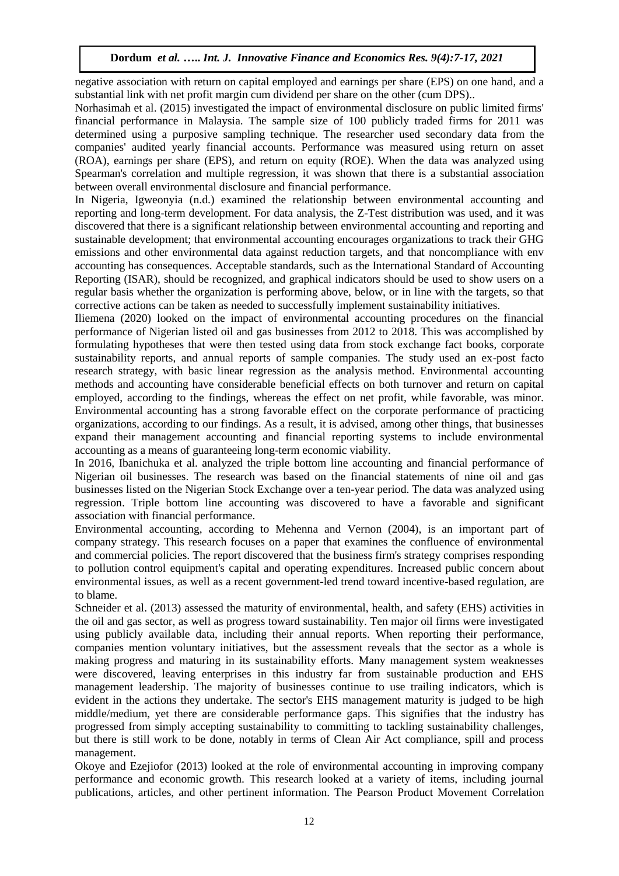negative association with return on capital employed and earnings per share (EPS) on one hand, and a substantial link with net profit margin cum dividend per share on the other (cum DPS)..

Norhasimah et al. (2015) investigated the impact of environmental disclosure on public limited firms' financial performance in Malaysia. The sample size of 100 publicly traded firms for 2011 was determined using a purposive sampling technique. The researcher used secondary data from the companies' audited yearly financial accounts. Performance was measured using return on asset (ROA), earnings per share (EPS), and return on equity (ROE). When the data was analyzed using Spearman's correlation and multiple regression, it was shown that there is a substantial association between overall environmental disclosure and financial performance.

In Nigeria, Igweonyia (n.d.) examined the relationship between environmental accounting and reporting and long-term development. For data analysis, the Z-Test distribution was used, and it was discovered that there is a significant relationship between environmental accounting and reporting and sustainable development; that environmental accounting encourages organizations to track their GHG emissions and other environmental data against reduction targets, and that noncompliance with env accounting has consequences. Acceptable standards, such as the International Standard of Accounting Reporting (ISAR), should be recognized, and graphical indicators should be used to show users on a regular basis whether the organization is performing above, below, or in line with the targets, so that corrective actions can be taken as needed to successfully implement sustainability initiatives.

Iliemena (2020) looked on the impact of environmental accounting procedures on the financial performance of Nigerian listed oil and gas businesses from 2012 to 2018. This was accomplished by formulating hypotheses that were then tested using data from stock exchange fact books, corporate sustainability reports, and annual reports of sample companies. The study used an ex-post facto research strategy, with basic linear regression as the analysis method. Environmental accounting methods and accounting have considerable beneficial effects on both turnover and return on capital employed, according to the findings, whereas the effect on net profit, while favorable, was minor. Environmental accounting has a strong favorable effect on the corporate performance of practicing organizations, according to our findings. As a result, it is advised, among other things, that businesses expand their management accounting and financial reporting systems to include environmental accounting as a means of guaranteeing long-term economic viability.

In 2016, Ibanichuka et al. analyzed the triple bottom line accounting and financial performance of Nigerian oil businesses. The research was based on the financial statements of nine oil and gas businesses listed on the Nigerian Stock Exchange over a ten-year period. The data was analyzed using regression. Triple bottom line accounting was discovered to have a favorable and significant association with financial performance.

Environmental accounting, according to Mehenna and Vernon (2004), is an important part of company strategy. This research focuses on a paper that examines the confluence of environmental and commercial policies. The report discovered that the business firm's strategy comprises responding to pollution control equipment's capital and operating expenditures. Increased public concern about environmental issues, as well as a recent government-led trend toward incentive-based regulation, are to blame.

Schneider et al. (2013) assessed the maturity of environmental, health, and safety (EHS) activities in the oil and gas sector, as well as progress toward sustainability. Ten major oil firms were investigated using publicly available data, including their annual reports. When reporting their performance, companies mention voluntary initiatives, but the assessment reveals that the sector as a whole is making progress and maturing in its sustainability efforts. Many management system weaknesses were discovered, leaving enterprises in this industry far from sustainable production and EHS management leadership. The majority of businesses continue to use trailing indicators, which is evident in the actions they undertake. The sector's EHS management maturity is judged to be high middle/medium, yet there are considerable performance gaps. This signifies that the industry has progressed from simply accepting sustainability to committing to tackling sustainability challenges, but there is still work to be done, notably in terms of Clean Air Act compliance, spill and process management.

Okoye and Ezejiofor (2013) looked at the role of environmental accounting in improving company performance and economic growth. This research looked at a variety of items, including journal publications, articles, and other pertinent information. The Pearson Product Movement Correlation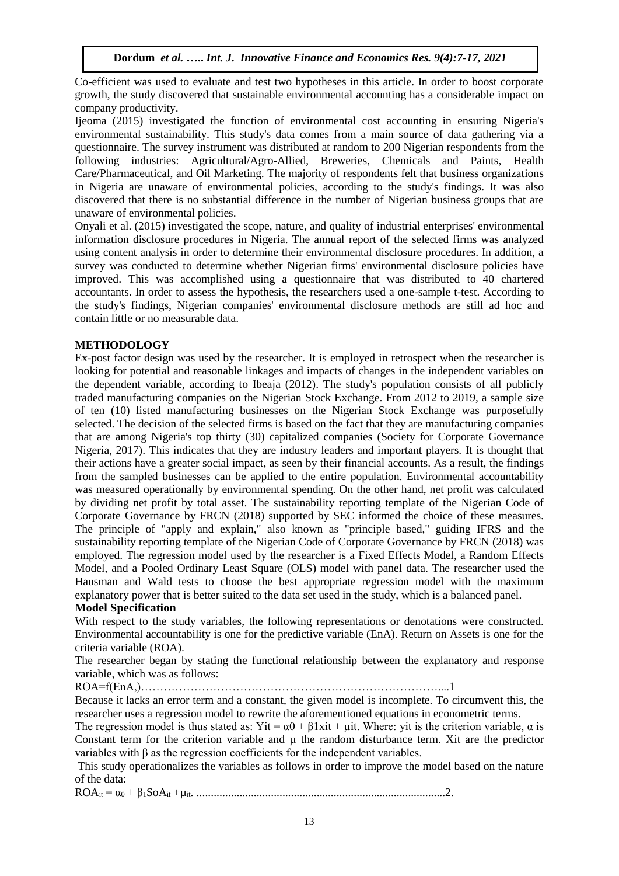Co-efficient was used to evaluate and test two hypotheses in this article. In order to boost corporate growth, the study discovered that sustainable environmental accounting has a considerable impact on company productivity.

Ijeoma (2015) investigated the function of environmental cost accounting in ensuring Nigeria's environmental sustainability. This study's data comes from a main source of data gathering via a questionnaire. The survey instrument was distributed at random to 200 Nigerian respondents from the following industries: Agricultural/Agro-Allied, Breweries, Chemicals and Paints, Health Care/Pharmaceutical, and Oil Marketing. The majority of respondents felt that business organizations in Nigeria are unaware of environmental policies, according to the study's findings. It was also discovered that there is no substantial difference in the number of Nigerian business groups that are unaware of environmental policies.

Onyali et al. (2015) investigated the scope, nature, and quality of industrial enterprises' environmental information disclosure procedures in Nigeria. The annual report of the selected firms was analyzed using content analysis in order to determine their environmental disclosure procedures. In addition, a survey was conducted to determine whether Nigerian firms' environmental disclosure policies have improved. This was accomplished using a questionnaire that was distributed to 40 chartered accountants. In order to assess the hypothesis, the researchers used a one-sample t-test. According to the study's findings, Nigerian companies' environmental disclosure methods are still ad hoc and contain little or no measurable data.

# **METHODOLOGY**

Ex-post factor design was used by the researcher. It is employed in retrospect when the researcher is looking for potential and reasonable linkages and impacts of changes in the independent variables on the dependent variable, according to Ibeaja (2012). The study's population consists of all publicly traded manufacturing companies on the Nigerian Stock Exchange. From 2012 to 2019, a sample size of ten (10) listed manufacturing businesses on the Nigerian Stock Exchange was purposefully selected. The decision of the selected firms is based on the fact that they are manufacturing companies that are among Nigeria's top thirty (30) capitalized companies (Society for Corporate Governance Nigeria, 2017). This indicates that they are industry leaders and important players. It is thought that their actions have a greater social impact, as seen by their financial accounts. As a result, the findings from the sampled businesses can be applied to the entire population. Environmental accountability was measured operationally by environmental spending. On the other hand, net profit was calculated by dividing net profit by total asset. The sustainability reporting template of the Nigerian Code of Corporate Governance by FRCN (2018) supported by SEC informed the choice of these measures. The principle of "apply and explain," also known as "principle based," guiding IFRS and the sustainability reporting template of the Nigerian Code of Corporate Governance by FRCN (2018) was employed. The regression model used by the researcher is a Fixed Effects Model, a Random Effects Model, and a Pooled Ordinary Least Square (OLS) model with panel data. The researcher used the Hausman and Wald tests to choose the best appropriate regression model with the maximum explanatory power that is better suited to the data set used in the study, which is a balanced panel.

# **Model Specification**

With respect to the study variables, the following representations or denotations were constructed. Environmental accountability is one for the predictive variable (EnA). Return on Assets is one for the criteria variable (ROA).

The researcher began by stating the functional relationship between the explanatory and response variable, which was as follows:

ROA=f(EnA,)……………………………………………………………………....1

Because it lacks an error term and a constant, the given model is incomplete. To circumvent this, the researcher uses a regression model to rewrite the aforementioned equations in econometric terms.

The regression model is thus stated as: Yit =  $\alpha$ 0 + β1xit +  $\mu$ it. Where: yit is the criterion variable,  $\alpha$  is Constant term for the criterion variable and  $\mu$  the random disturbance term. Xit are the predictor variables with β as the regression coefficients for the independent variables.

This study operationalizes the variables as follows in order to improve the model based on the nature of the data:

ROAit = α<sup>0</sup> + β1SoAit +µit. .......................................................................................2.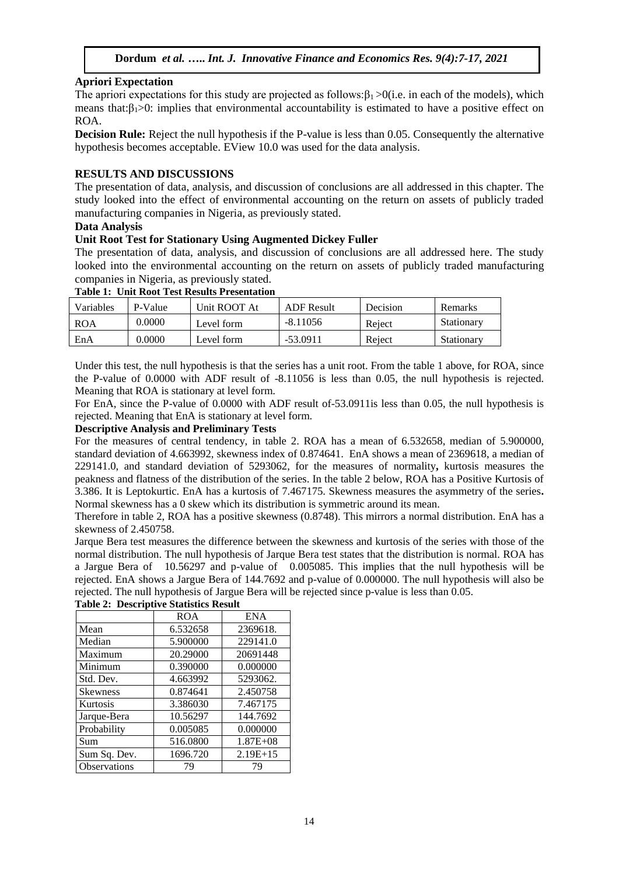# **Apriori Expectation**

The apriori expectations for this study are projected as follows: $\beta_1 > 0$ (i.e. in each of the models), which means that: $\beta_1>0$ : implies that environmental accountability is estimated to have a positive effect on ROA.

**Decision Rule:** Reject the null hypothesis if the P-value is less than 0.05. Consequently the alternative hypothesis becomes acceptable. EView 10.0 was used for the data analysis.

# **RESULTS AND DISCUSSIONS**

The presentation of data, analysis, and discussion of conclusions are all addressed in this chapter. The study looked into the effect of environmental accounting on the return on assets of publicly traded manufacturing companies in Nigeria, as previously stated.

#### **Data Analysis**

# **Unit Root Test for Stationary Using Augmented Dickey Fuller**

The presentation of data, analysis, and discussion of conclusions are all addressed here. The study looked into the environmental accounting on the return on assets of publicly traded manufacturing companies in Nigeria, as previously stated.

| Variables  | P-Value | Unit ROOT At | ADF Result | <b>Decision</b> | <b>Remarks</b> |
|------------|---------|--------------|------------|-----------------|----------------|
| <b>ROA</b> | 0.0000  | Level form   | $-8.11056$ | Reject          | Stationary     |
| EnA        | 0.0000  | Level form-  | -53.0911   | Reject          | Stationary     |

# **Table 1: Unit Root Test Results Presentation**

Under this test, the null hypothesis is that the series has a unit root. From the table 1 above, for ROA, since the P-value of 0.0000 with ADF result of -8.11056 is less than 0.05, the null hypothesis is rejected. Meaning that ROA is stationary at level form.

For EnA, since the P-value of 0.0000 with ADF result of-53.0911is less than 0.05, the null hypothesis is rejected. Meaning that EnA is stationary at level form.

# **Descriptive Analysis and Preliminary Tests**

For the measures of central tendency, in table 2. ROA has a mean of 6.532658, median of 5.900000, standard deviation of 4.663992, skewness index of 0.874641. EnA shows a mean of 2369618, a median of 229141.0, and standard deviation of 5293062, for the measures of normality**,** kurtosis measures the peakness and flatness of the distribution of the series. In the table 2 below, ROA has a Positive Kurtosis of 3.386. It is Leptokurtic. EnA has a kurtosis of 7.467175. Skewness measures the asymmetry of the series**.**  Normal skewness has a 0 skew which its distribution is symmetric around its mean.

Therefore in table 2, ROA has a positive skewness (0.8748). This mirrors a normal distribution. EnA has a skewness of 2.450758.

Jarque Bera test measures the difference between the skewness and kurtosis of the series with those of the normal distribution. The null hypothesis of Jarque Bera test states that the distribution is normal. ROA has a Jargue Bera of 10.56297 and p-value of 0.005085. This implies that the null hypothesis will be rejected. EnA shows a Jargue Bera of 144.7692 and p-value of 0.000000. The null hypothesis will also be rejected. The null hypothesis of Jargue Bera will be rejected since p-value is less than 0.05.

|                 | <b>ROA</b> | <b>ENA</b>   |  |
|-----------------|------------|--------------|--|
| Mean            | 6.532658   | 2369618.     |  |
| Median          | 5.900000   | 229141.0     |  |
| Maximum         | 20.29000   | 20691448     |  |
| Minimum         | 0.390000   | 0.000000     |  |
| Std. Dev.       | 4.663992   | 5293062.     |  |
| <b>Skewness</b> | 0.874641   | 2.450758     |  |
| Kurtosis        | 3.386030   | 7.467175     |  |
| Jarque-Bera     | 10.56297   | 144.7692     |  |
| Probability     | 0.005085   | 0.000000     |  |
| Sum             | 516.0800   | $1.87E + 08$ |  |
| Sum Sq. Dev.    | 1696.720   | $2.19E+15$   |  |
| Observations    | 79         | 79           |  |

# **Table 2: Descriptive Statistics Result**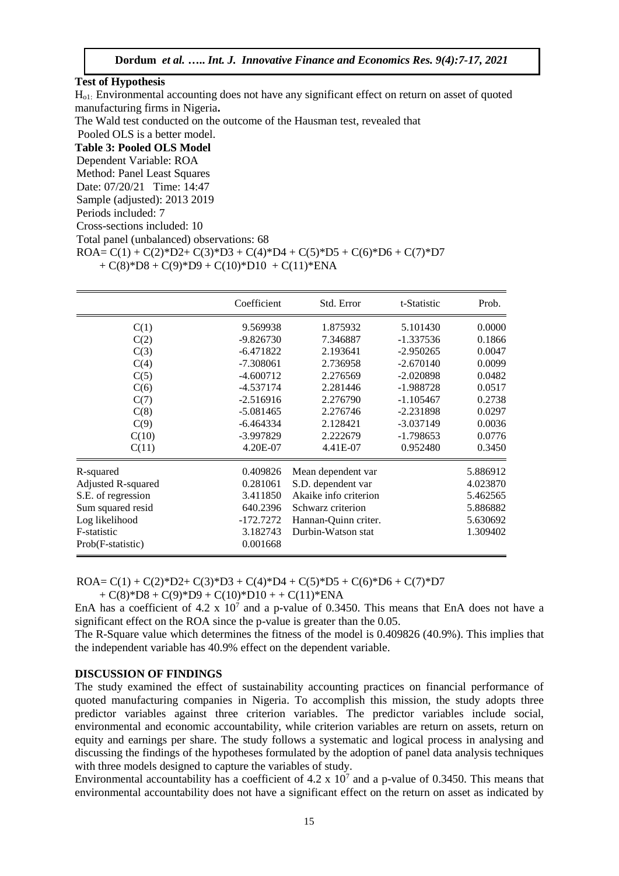#### **Test of Hypothesis**

Ho1: Environmental accounting does not have any significant effect on return on asset of quoted manufacturing firms in Nigeria**.**

The Wald test conducted on the outcome of the Hausman test, revealed that

Pooled OLS is a better model.

# **Table 3: Pooled OLS Model**

Dependent Variable: ROA

Method: Panel Least Squares

Date: 07/20/21 Time: 14:47

Sample (adjusted): 2013 2019

Periods included: 7

Cross-sections included: 10

Total panel (unbalanced) observations: 68

```
ROA = C(1) + C(2)*D2 + C(3)*D3 + C(4)*D4 + C(5)*D5 + C(6)*D6 + C(7)*D7
```

```
+ C(8)*D8 + C(9)*D9 + C(10)*D10 + C(11)*ENA
```

|                    | Coefficient | Std. Error            | t-Statistic | Prob.    |
|--------------------|-------------|-----------------------|-------------|----------|
| C(1)               | 9.569938    | 1.875932              | 5.101430    | 0.0000   |
| C(2)               | $-9.826730$ | 7.346887              | $-1.337536$ | 0.1866   |
| C(3)               | $-6.471822$ | 2.193641              | $-2.950265$ | 0.0047   |
| C(4)               | $-7.308061$ | 2.736958              | $-2.670140$ | 0.0099   |
| C(5)               | $-4.600712$ | 2.276569              | $-2.020898$ | 0.0482   |
| C(6)               | $-4.537174$ | 2.281446              | $-1.988728$ | 0.0517   |
| C(7)               | $-2.516916$ | 2.276790              | $-1.105467$ | 0.2738   |
| C(8)               | $-5.081465$ | 2.276746              | $-2.231898$ | 0.0297   |
| C(9)               | $-6.464334$ | 2.128421              | $-3.037149$ | 0.0036   |
| C(10)              | -3.997829   | 2.222679              | $-1.798653$ | 0.0776   |
| C(11)              | 4.20E-07    | 4.41E-07              | 0.952480    | 0.3450   |
| R-squared          | 0.409826    | Mean dependent var    |             | 5.886912 |
| Adjusted R-squared | 0.281061    | S.D. dependent var    |             | 4.023870 |
| S.E. of regression | 3.411850    | Akaike info criterion | 5.462565    |          |
| Sum squared resid  | 640.2396    | Schwarz criterion     | 5.886882    |          |
| Log likelihood     | $-172.7272$ | Hannan-Quinn criter.  | 5.630692    |          |
| F-statistic        | 3.182743    | Durbin-Watson stat    |             | 1.309402 |
| Prob(F-statistic)  | 0.001668    |                       |             |          |

 $ROA = C(1) + C(2)*D2 + C(3)*D3 + C(4)*D4 + C(5)*D5 + C(6)*D6 + C(7)*D7$ 

 $+ C(8)*D8 + C(9)*D9 + C(10)*D10 + + C(11)*ENA$ 

EnA has a coefficient of 4.2 x  $10<sup>7</sup>$  and a p-value of 0.3450. This means that EnA does not have a significant effect on the ROA since the p-value is greater than the 0.05.

The R-Square value which determines the fitness of the model is 0.409826 (40.9%). This implies that the independent variable has 40.9% effect on the dependent variable.

#### **DISCUSSION OF FINDINGS**

The study examined the effect of sustainability accounting practices on financial performance of quoted manufacturing companies in Nigeria. To accomplish this mission, the study adopts three predictor variables against three criterion variables. The predictor variables include social, environmental and economic accountability, while criterion variables are return on assets, return on equity and earnings per share. The study follows a systematic and logical process in analysing and discussing the findings of the hypotheses formulated by the adoption of panel data analysis techniques with three models designed to capture the variables of study.

Environmental accountability has a coefficient of  $4.2 \times 10^7$  and a p-value of 0.3450. This means that environmental accountability does not have a significant effect on the return on asset as indicated by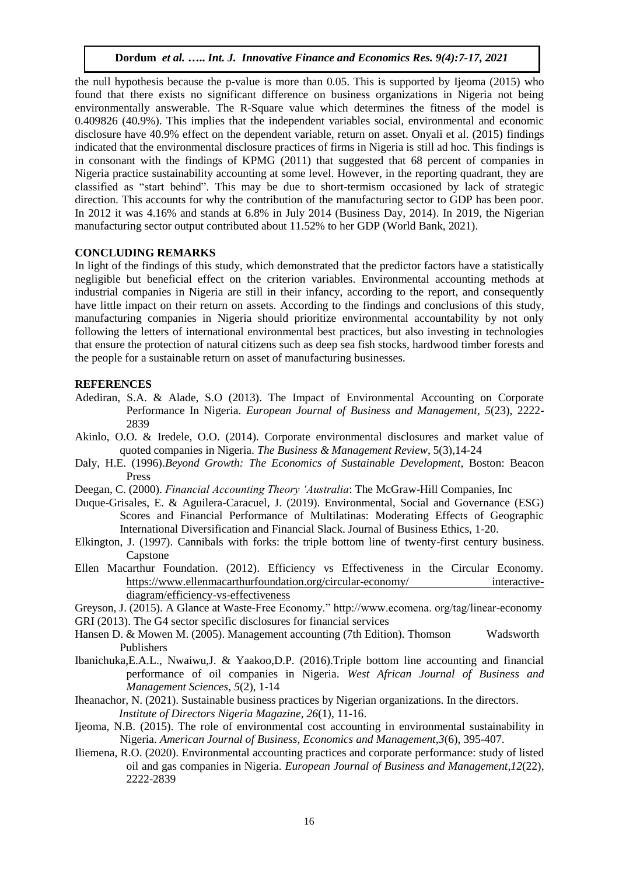the null hypothesis because the p-value is more than 0.05. This is supported by Ijeoma (2015) who found that there exists no significant difference on business organizations in Nigeria not being environmentally answerable. The R-Square value which determines the fitness of the model is 0.409826 (40.9%). This implies that the independent variables social, environmental and economic disclosure have 40.9% effect on the dependent variable, return on asset. Onyali et al. (2015) findings indicated that the environmental disclosure practices of firms in Nigeria is still ad hoc. This findings is in consonant with the findings of KPMG (2011) that suggested that 68 percent of companies in Nigeria practice sustainability accounting at some level. However, in the reporting quadrant, they are classified as "start behind". This may be due to short-termism occasioned by lack of strategic direction. This accounts for why the contribution of the manufacturing sector to GDP has been poor. In 2012 it was 4.16% and stands at 6.8% in July 2014 (Business Day, 2014). In 2019, the Nigerian manufacturing sector output contributed about 11.52% to her GDP (World Bank, 2021).

# **CONCLUDING REMARKS**

In light of the findings of this study, which demonstrated that the predictor factors have a statistically negligible but beneficial effect on the criterion variables. Environmental accounting methods at industrial companies in Nigeria are still in their infancy, according to the report, and consequently have little impact on their return on assets. According to the findings and conclusions of this study, manufacturing companies in Nigeria should prioritize environmental accountability by not only following the letters of international environmental best practices, but also investing in technologies that ensure the protection of natural citizens such as deep sea fish stocks, hardwood timber forests and the people for a sustainable return on asset of manufacturing businesses.

# **REFERENCES**

- Adediran, S.A. & Alade, S.O (2013). The Impact of Environmental Accounting on Corporate Performance In Nigeria. *European Journal of Business and Management*, *5*(23), 2222- 2839
- Akinlo, O.O. & Iredele, O.O. (2014). Corporate environmental disclosures and market value of quoted companies in Nigeria. *The Business & Management Review*, 5(3),14-24
- Daly, H.E. (1996).*Beyond Growth: The Economics of Sustainable Development*, Boston: Beacon Press
- Deegan, C. (2000). *Financial Accounting Theory 'Australia*: The McGraw-Hill Companies, Inc
- Duque-Grisales, E. & Aguilera-Caracuel, J. (2019). Environmental, Social and Governance (ESG) Scores and Financial Performance of Multilatinas: Moderating Effects of Geographic International Diversification and Financial Slack. Journal of Business Ethics, 1-20.
- Elkington, J. (1997). Cannibals with forks: the triple bottom line of twenty-first century business. Capstone
- Ellen Macarthur Foundation. (2012). Efficiency vs Effectiveness in the Circular Economy. [https://www.ellenmacarthurfoundation.org/circular-economy/ interactive](https://www.ellenmacarthurfoundation.org/circular-economy/%20interactive-diagram/efficiency-vs-effectiveness)[diagram/efficiency-vs-effectiveness](https://www.ellenmacarthurfoundation.org/circular-economy/%20interactive-diagram/efficiency-vs-effectiveness)
- Greyson, J. (2015). A Glance at Waste-Free Economy." http://www.ecomena. org/tag/linear-economy GRI (2013). The G4 sector specific disclosures for financial services
- Hansen D. & Mowen M. (2005). Management accounting (7th Edition). Thomson Wadsworth Publishers
- Ibanichuka,E.A.L., Nwaiwu,J. & Yaakoo,D.P. (2016).Triple bottom line accounting and financial performance of oil companies in Nigeria. *West African Journal of Business and Management Sciences, 5*(2), 1-14
- Iheanachor, N. (2021). Sustainable business practices by Nigerian organizations. In the directors. *Institute of Directors Nigeria Magazine*, *26*(1), 11-16.
- Ijeoma, N.B. (2015). The role of environmental cost accounting in environmental sustainability in Nigeria. *American Journal of Business, Economics and Management,3*(6), 395-407.
- Iliemena, R.O. (2020). Environmental accounting practices and corporate performance: study of listed oil and gas companies in Nigeria. *European Journal of Business and Management*,*12*(22), 2222-2839